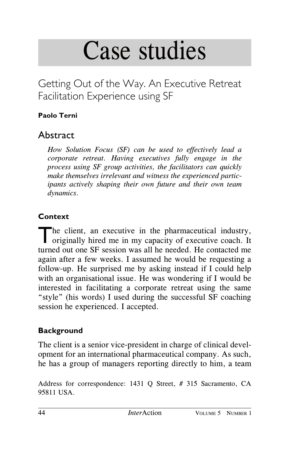# Case studies

Getting Out of the Way. An Executive Retreat Facilitation Experience using SF

## **Paolo Terni**

# **Abstract**

*How Solution Focus (SF) can be used to effectively lead a corporate retreat. Having executives fully engage in the process using SF group activities, the facilitators can quickly make themselves irrelevant and witness the experienced participants actively shaping their own future and their own team dynamics.*

## **Context**

The client, an executive in the pharmaceutical industry,<br>originally hired me in my capacity of executive coach. It turned out one SF session was all he needed. He contacted me again after a few weeks. I assumed he would be requesting a follow-up. He surprised me by asking instead if I could help with an organisational issue. He was wondering if I would be interested in facilitating a corporate retreat using the same "style" (his words) I used during the successful SF coaching session he experienced. I accepted.

## **Background**

The client is a senior vice-president in charge of clinical development for an international pharmaceutical company. As such, he has a group of managers reporting directly to him, a team

Address for correspondence: 1431 Q Street, # 315 Sacramento, CA 95811 USA.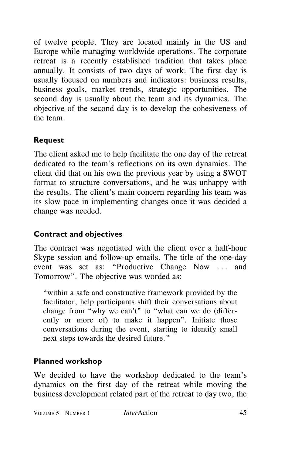of twelve people. They are located mainly in the US and Europe while managing worldwide operations. The corporate retreat is a recently established tradition that takes place annually. It consists of two days of work. The first day is usually focused on numbers and indicators: business results, business goals, market trends, strategic opportunities. The second day is usually about the team and its dynamics. The objective of the second day is to develop the cohesiveness of the team.

## **Request**

The client asked me to help facilitate the one day of the retreat dedicated to the team's reflections on its own dynamics. The client did that on his own the previous year by using a SWOT format to structure conversations, and he was unhappy with the results. The client's main concern regarding his team was its slow pace in implementing changes once it was decided a change was needed.

## **Contract and objectives**

The contract was negotiated with the client over a half-hour Skype session and follow-up emails. The title of the one-day event was set as: "Productive Change Now ... and Tomorrow". The objective was worded as:

"within a safe and constructive framework provided by the facilitator, help participants shift their conversations about change from "why we can't" to "what can we do (differently or more of) to make it happen". Initiate those conversations during the event, starting to identify small next steps towards the desired future."

## **Planned workshop**

We decided to have the workshop dedicated to the team's dynamics on the first day of the retreat while moving the business development related part of the retreat to day two, the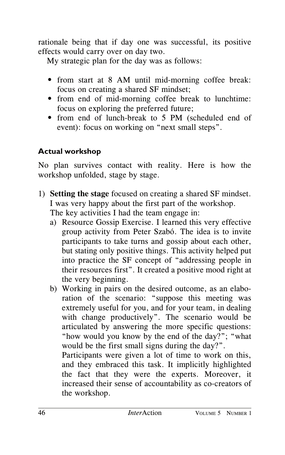rationale being that if day one was successful, its positive effects would carry over on day two.

My strategic plan for the day was as follows:

- from start at 8 AM until mid-morning coffee break: focus on creating a shared SF mindset;
- from end of mid-morning coffee break to lunchtime: focus on exploring the preferred future;
- from end of lunch-break to 5 PM (scheduled end of event): focus on working on "next small steps".

## **Actual workshop**

No plan survives contact with reality. Here is how the workshop unfolded, stage by stage.

- 1) **Setting the stage** focused on creating a shared SF mindset. I was very happy about the first part of the workshop. The key activities I had the team engage in:
	- a) Resource Gossip Exercise. I learned this very effective group activity from Peter Szabó. The idea is to invite participants to take turns and gossip about each other, but stating only positive things. This activity helped put into practice the SF concept of "addressing people in their resources first". It created a positive mood right at the very beginning.
	- b) Working in pairs on the desired outcome, as an elaboration of the scenario: "suppose this meeting was extremely useful for you, and for your team, in dealing with change productively". The scenario would be articulated by answering the more specific questions: "how would you know by the end of the day?"; "what would be the first small signs during the day?".

Participants were given a lot of time to work on this, and they embraced this task. It implicitly highlighted the fact that they were the experts. Moreover, it increased their sense of accountability as co-creators of the workshop.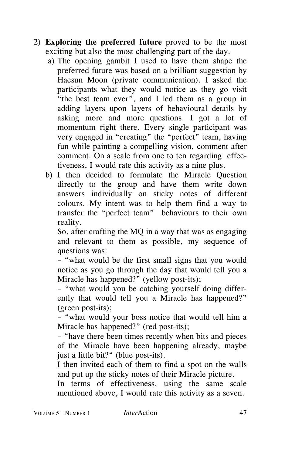- 2) **Exploring the preferred future** proved to be the most exciting but also the most challenging part of the day.
	- a) The opening gambit I used to have them shape the preferred future was based on a brilliant suggestion by Haesun Moon (private communication). I asked the participants what they would notice as they go visit "the best team ever", and I led them as a group in adding layers upon layers of behavioural details by asking more and more questions. I got a lot of momentum right there. Every single participant was very engaged in "creating" the "perfect" team, having fun while painting a compelling vision, comment after comment. On a scale from one to ten regarding effectiveness, I would rate this activity as a nine plus.
	- b) I then decided to formulate the Miracle Question directly to the group and have them write down answers individually on sticky notes of different colours. My intent was to help them find a way to transfer the "perfect team" behaviours to their own reality.

So, after crafting the MQ in a way that was as engaging and relevant to them as possible, my sequence of questions was:

– "what would be the first small signs that you would notice as you go through the day that would tell you a Miracle has happened?" (yellow post-its);

– "what would you be catching yourself doing differently that would tell you a Miracle has happened?" (green post-its);

– "what would your boss notice that would tell him a Miracle has happened?" (red post-its);

– "have there been times recently when bits and pieces of the Miracle have been happening already, maybe just a little bit?" (blue post-its).

I then invited each of them to find a spot on the walls and put up the sticky notes of their Miracle picture.

In terms of effectiveness, using the same scale mentioned above, I would rate this activity as a seven.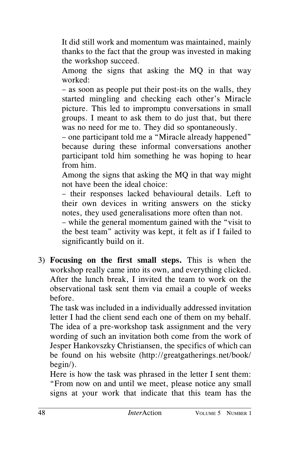It did still work and momentum was maintained, mainly thanks to the fact that the group was invested in making the workshop succeed.

Among the signs that asking the MQ in that way worked:

– as soon as people put their post-its on the walls, they started mingling and checking each other's Miracle picture. This led to impromptu conversations in small groups. I meant to ask them to do just that, but there was no need for me to. They did so spontaneously.

– one participant told me a "Miracle already happened" because during these informal conversations another participant told him something he was hoping to hear from him.

Among the signs that asking the MQ in that way might not have been the ideal choice:

– their responses lacked behavioural details. Left to their own devices in writing answers on the sticky notes, they used generalisations more often than not.

– while the general momentum gained with the "visit to the best team" activity was kept, it felt as if I failed to significantly build on it.

3) **Focusing on the first small steps.** This is when the workshop really came into its own, and everything clicked. After the lunch break, I invited the team to work on the observational task sent them via email a couple of weeks before.

The task was included in a individually addressed invitation letter I had the client send each one of them on my behalf. The idea of a pre-workshop task assignment and the very wording of such an invitation both come from the work of Jesper Hankovszky Christiansen, the specifics of which can be found on his website (http://greatgatherings.net/book/ begin/).

Here is how the task was phrased in the letter I sent them: "From now on and until we meet, please notice any small signs at your work that indicate that this team has the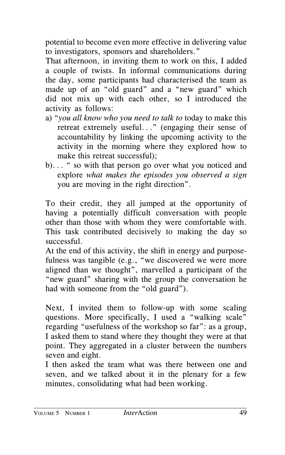potential to become even more effective in delivering value to investigators, sponsors and shareholders."

That afternoon, in inviting them to work on this, I added a couple of twists. In informal communications during the day, some participants had characterised the team as made up of an "old guard" and a "new guard" which did not mix up with each other, so I introduced the activity as follows:

- a) "*you all know who you need to talk to* today to make this retreat extremely useful..." (engaging their sense of accountability by linking the upcoming activity to the activity in the morning where they explored how to make this retreat successful);
- b)... " so with that person go over what you noticed and explore *what makes the episodes you observed a sign* you are moving in the right direction".

To their credit, they all jumped at the opportunity of having a potentially difficult conversation with people other than those with whom they were comfortable with. This task contributed decisively to making the day so successful.

At the end of this activity, the shift in energy and purposefulness was tangible (e.g., "we discovered we were more aligned than we thought", marvelled a participant of the "new guard" sharing with the group the conversation he had with someone from the "old guard").

Next, I invited them to follow-up with some scaling questions. More specifically, I used a "walking scale" regarding "usefulness of the workshop so far": as a group, I asked them to stand where they thought they were at that point. They aggregated in a cluster between the numbers seven and eight.

I then asked the team what was there between one and seven, and we talked about it in the plenary for a few minutes, consolidating what had been working.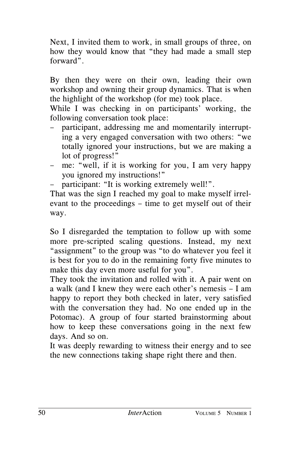Next, I invited them to work, in small groups of three, on how they would know that "they had made a small step forward".

By then they were on their own, leading their own workshop and owning their group dynamics. That is when the highlight of the workshop (for me) took place.

While I was checking in on participants' working, the following conversation took place:

- participant, addressing me and momentarily interrupting a very engaged conversation with two others: "we totally ignored your instructions, but we are making a lot of progress!"
- me: "well, if it is working for you, I am very happy you ignored my instructions!"
- participant: "It is working extremely well!".

That was the sign I reached my goal to make myself irrelevant to the proceedings – time to get myself out of their way.

So I disregarded the temptation to follow up with some more pre-scripted scaling questions. Instead, my next "assignment" to the group was "to do whatever you feel it is best for you to do in the remaining forty five minutes to make this day even more useful for you".

They took the invitation and rolled with it. A pair went on a walk (and I knew they were each other's nemesis – I am happy to report they both checked in later, very satisfied with the conversation they had. No one ended up in the Potomac). A group of four started brainstorming about how to keep these conversations going in the next few days. And so on.

It was deeply rewarding to witness their energy and to see the new connections taking shape right there and then.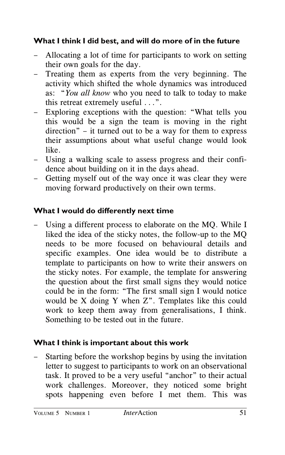## **What I think I did best, and will do more of in the future**

- Allocating a lot of time for participants to work on setting their own goals for the day.
- Treating them as experts from the very beginning. The activity which shifted the whole dynamics was introduced as: "*You all know* who you need to talk to today to make this retreat extremely useful ...".
- Exploring exceptions with the question: "What tells you this would be a sign the team is moving in the right direction" – it turned out to be a way for them to express their assumptions about what useful change would look like.
- Using a walking scale to assess progress and their confidence about building on it in the days ahead.
- Getting myself out of the way once it was clear they were moving forward productively on their own terms.

## **What I would do differently next time**

Using a different process to elaborate on the MQ. While I liked the idea of the sticky notes, the follow-up to the MQ needs to be more focused on behavioural details and specific examples. One idea would be to distribute a template to participants on how to write their answers on the sticky notes. For example, the template for answering the question about the first small signs they would notice could be in the form: "The first small sign I would notice would be X doing Y when Z". Templates like this could work to keep them away from generalisations, I think. Something to be tested out in the future.

#### **What I think is important about this work**

– Starting before the workshop begins by using the invitation letter to suggest to participants to work on an observational task. It proved to be a very useful "anchor" to their actual work challenges. Moreover, they noticed some bright spots happening even before I met them. This was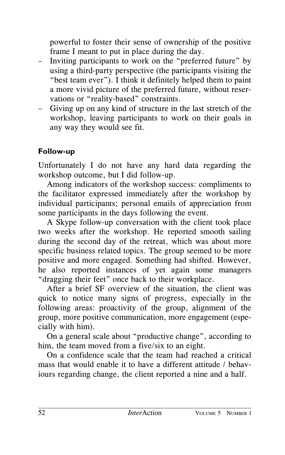powerful to foster their sense of ownership of the positive frame I meant to put in place during the day.

- Inviting participants to work on the "preferred future" by using a third-party perspective (the participants visiting the "best team ever"). I think it definitely helped them to paint a more vivid picture of the preferred future, without reservations or "reality-based" constraints.
- Giving up on any kind of structure in the last stretch of the workshop, leaving participants to work on their goals in any way they would see fit.

## **Follow-up**

Unfortunately I do not have any hard data regarding the workshop outcome, but I did follow-up.

Among indicators of the workshop success: compliments to the facilitator expressed immediately after the workshop by individual participants; personal emails of appreciation from some participants in the days following the event.

A Skype follow-up conversation with the client took place two weeks after the workshop. He reported smooth sailing during the second day of the retreat, which was about more specific business related topics. The group seemed to be more positive and more engaged. Something had shifted. However, he also reported instances of yet again some managers "dragging their feet" once back to their workplace.

After a brief SF overview of the situation, the client was quick to notice many signs of progress, especially in the following areas: proactivity of the group, alignment of the group, more positive communication, more engagement (especially with him).

On a general scale about "productive change", according to him, the team moved from a five/six to an eight.

On a confidence scale that the team had reached a critical mass that would enable it to have a different attitude / behaviours regarding change, the client reported a nine and a half.